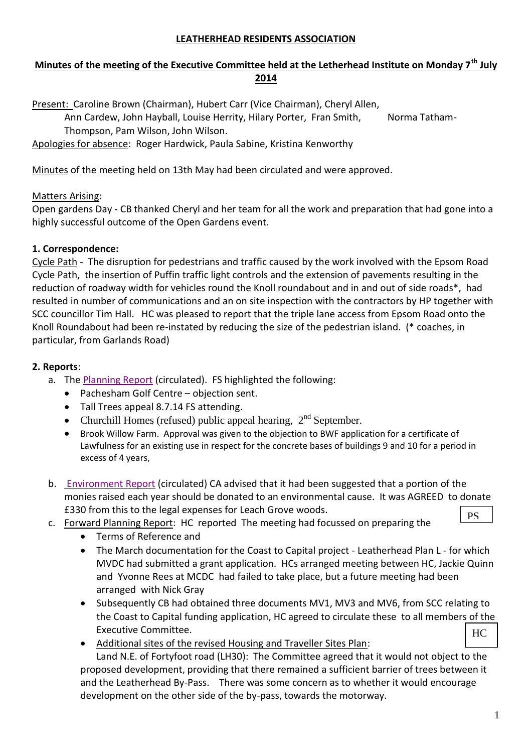### **LEATHERHEAD RESIDENTS ASSOCIATION**

## **Minutes of the meeting of the Executive Committee held at the Letherhead Institute on Monday 7th July 2014**

Present: Caroline Brown (Chairman), Hubert Carr (Vice Chairman), Cheryl Allen, Ann Cardew, John Hayball, Louise Herrity, Hilary Porter, Fran Smith, Norma Tatham-Thompson, Pam Wilson, John Wilson.

Apologies for absence: Roger Hardwick, Paula Sabine, Kristina Kenworthy

Minutes of the meeting held on 13th May had been circulated and were approved.

## Matters Arising:

Open gardens Day - CB thanked Cheryl and her team for all the work and preparation that had gone into a highly successful outcome of the Open Gardens event.

## **1. Correspondence:**

Cycle Path - The disruption for pedestrians and traffic caused by the work involved with the Epsom Road Cycle Path, the insertion of Puffin traffic light controls and the extension of pavements resulting in the reduction of roadway width for vehicles round the Knoll roundabout and in and out of side roads\*, had resulted in number of communications and an on site inspection with the contractors by HP together with SCC councillor Tim Hall. HC was pleased to report that the triple lane access from Epsom Road onto the Knoll Roundabout had been re-instated by reducing the size of the pedestrian island. (\* coaches, in particular, from Garlands Road)

## **2. Reports**:

- a. The [Planning Report](http://www.leatherheadresidents.org.uk/Reports/Planning_July_2014.pdf) (circulated). FS highlighted the following:
	- Pachesham Golf Centre objection sent.
	- Tall Trees appeal 8.7.14 FS attending.
	- Churchill Homes (refused) public appeal hearing,  $2<sup>nd</sup>$  September.
	- Brook Willow Farm. Approval was given to the objection to BWF application for a certificate of Lawfulness for an existing use in respect for the concrete bases of buildings 9 and 10 for a period in excess of 4 years,
- b. [Environment Report](http://www.leatherheadresidents.org.uk/Reports/Environment_July_2014.pdf) (circulated) CA advised that it had been suggested that a portion of the monies raised each year should be donated to an environmental cause. It was AGREED to donate £330 from this to the legal expenses for Leach Grove woods. **PS**
- c. Forward Planning Report: HC reported The meeting had focussed on preparing the
	- Terms of Reference and
	- The March documentation for the Coast to Capital project Leatherhead Plan L for which MVDC had submitted a grant application. HCs arranged meeting between HC, Jackie Quinn and Yvonne Rees at MCDC had failed to take place, but a future meeting had been arranged with Nick Gray
	- Subsequently CB had obtained three documents MV1, MV3 and MV6, from SCC relating to the Coast to Capital funding application, HC agreed to circulate these to all members of the Executive Committee.  $HC$
	- Additional sites of the revised Housing and Traveller Sites Plan:

Land N.E. of Fortyfoot road (LH30): The Committee agreed that it would not object to the proposed development, providing that there remained a sufficient barrier of trees between it and the Leatherhead By-Pass. There was some concern as to whether it would encourage development on the other side of the by-pass, towards the motorway.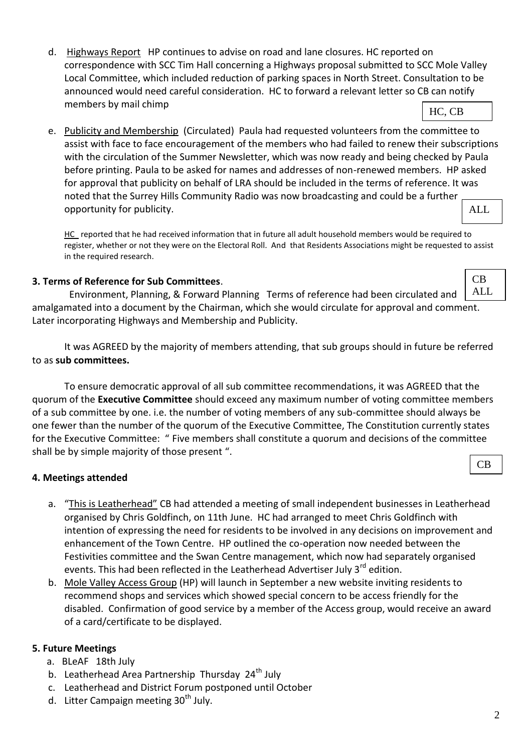2

- d. Highways Report HP continues to advise on road and lane closures. HC reported on correspondence with SCC Tim Hall concerning a Highways proposal submitted to SCC Mole Valley Local Committee, which included reduction of parking spaces in North Street. Consultation to be announced would need careful consideration. HC to forward a relevant letter so CB can notify members by mail chimp HC, CB
- e. Publicity and Membership (Circulated) Paula had requested volunteers from the committee to assist with face to face encouragement of the members who had failed to renew their subscriptions with the circulation of the Summer Newsletter, which was now ready and being checked by Paula before printing. Paula to be asked for names and addresses of non-renewed members. HP asked for approval that publicity on behalf of LRA should be included in the terms of reference. It was noted that the Surrey Hills Community Radio was now broadcasting and could be a further opportunity for publicity. ALL

HC reported that he had received information that in future all adult household members would be required to register, whether or not they were on the Electoral Roll. And that Residents Associations might be requested to assist in the required research.

## **3. Terms of Reference for Sub Committees**.

 Environment, Planning, & Forward Planning Terms of reference had been circulated and amalgamated into a document by the Chairman, which she would circulate for approval and comment. Later incorporating Highways and Membership and Publicity.

 It was AGREED by the majority of members attending, that sub groups should in future be referred to as **sub committees.** 

To ensure democratic approval of all sub committee recommendations, it was AGREED that the quorum of the **Executive Committee** should exceed any maximum number of voting committee members of a sub committee by one. i.e. the number of voting members of any sub-committee should always be one fewer than the number of the quorum of the Executive Committee, The Constitution currently states for the Executive Committee: " Five members shall constitute a quorum and decisions of the committee shall be by simple majority of those present ".

# **4. Meetings attended**

- a. "This is Leatherhead" CB had attended a meeting of small independent businesses in Leatherhead organised by Chris Goldfinch, on 11th June. HC had arranged to meet Chris Goldfinch with intention of expressing the need for residents to be involved in any decisions on improvement and enhancement of the Town Centre. HP outlined the co-operation now needed between the Festivities committee and the Swan Centre management, which now had separately organised events. This had been reflected in the Leatherhead Advertiser July 3<sup>rd</sup> edition.
- b. Mole Valley Access Group (HP) will launch in September a new website inviting residents to recommend shops and services which showed special concern to be access friendly for the disabled. Confirmation of good service by a member of the Access group, would receive an award of a card/certificate to be displayed.

# **5. Future Meetings**

- a. BLeAF 18th July
- b. Leatherhead Area Partnership Thursday  $24<sup>th</sup>$  July
- c. Leatherhead and District Forum postponed until October
- d. Litter Campaign meeting  $30<sup>th</sup>$  July.